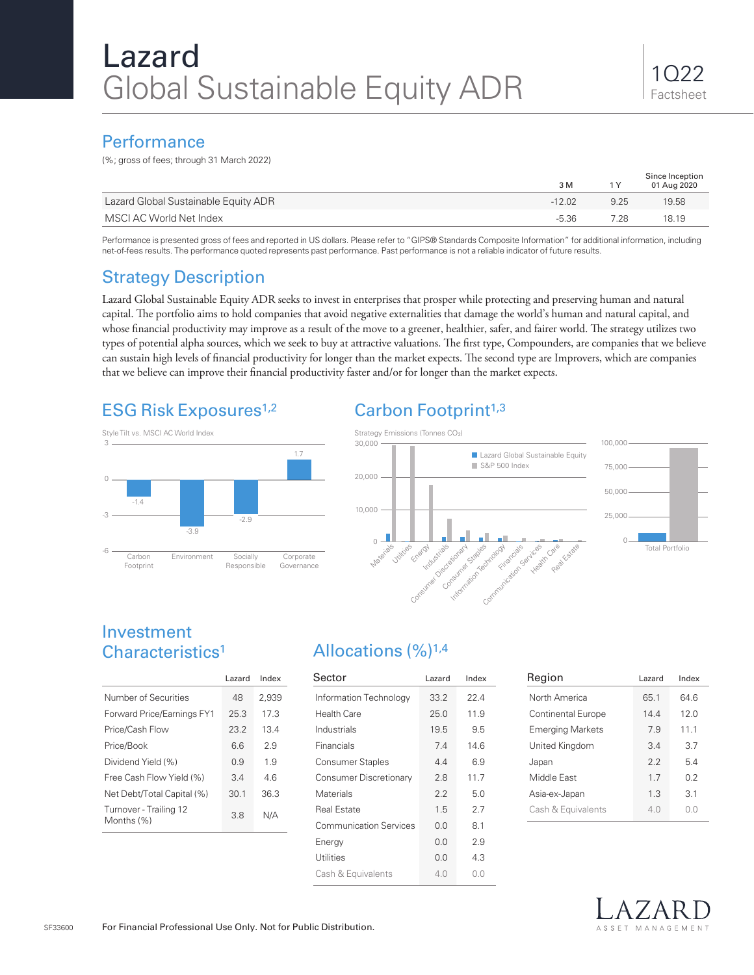### **Performance**

(%; gross of fees; through 31 March 2022)

|                                      | 3 M      | 1 Y  | Since Inception<br>01 Aug 2020 |
|--------------------------------------|----------|------|--------------------------------|
| Lazard Global Sustainable Equity ADR | $-12.02$ | 9.25 | 19.58                          |
| MSCI AC World Net Index              | $-5.36$  | 7.28 | 18.19                          |

Performance is presented gross of fees and reported in US dollars. Please refer to "GIPS® Standards Composite Information" for additional information, including net-of-fees results. The performance quoted represents past performance. Past performance is not a reliable indicator of future results.

# Strategy Description

Lazard Global Sustainable Equity ADR seeks to invest in enterprises that prosper while protecting and preserving human and natural capital. The portfolio aims to hold companies that avoid negative externalities that damage the world's human and natural capital, and whose financial productivity may improve as a result of the move to a greener, healthier, safer, and fairer world. The strategy utilizes two types of potential alpha sources, which we seek to buy at attractive valuations. The first type, Compounders, are companies that we believe can sustain high levels of financial productivity for longer than the market expects. The second type are Improvers, which are companies that we believe can improve their financial productivity faster and/or for longer than the market expects.

# ESG Risk Exposures<sup>1,2</sup>



# Carbon Footprint<sup>1,3</sup>



## Investment Characteristics1

|                                      | Lazard | Index |  |
|--------------------------------------|--------|-------|--|
| Number of Securities                 | 48     | 2,939 |  |
| Forward Price/Earnings FY1           | 25.3   | 17.3  |  |
| Price/Cash Flow                      | 23.2   | 13.4  |  |
| Price/Book                           | 66     | 29    |  |
| Dividend Yield (%)                   | 09     | 19    |  |
| Free Cash Flow Yield (%)             | 34     | 46    |  |
| Net Debt/Total Capital (%)           | 30.1   | 36.3  |  |
| Turnover - Trailing 12<br>Months (%) | 3.8    | N/A   |  |

# Allocations (%)1,4

| Sector                        | Lazard | Index |
|-------------------------------|--------|-------|
| Information Technology        | 33.2   | 224   |
| Health Care                   | 25.0   | 11.9  |
| Industrials                   | 19.5   | 9.5   |
| Financials                    | 7.4    | 14.6  |
| <b>Consumer Staples</b>       | 44     | 6.9   |
| Consumer Discretionary        | 28     | 117   |
| Materials                     | 2.2    | 50    |
| Real Estate                   | 1.5    | 27    |
| <b>Communication Services</b> | 0.0    | 8.1   |
| Energy                        | 0.0    | 2.9   |
| Utilities                     | 0.0    | 4.3   |
| Cash & Equivalents            | 40     | 0.0   |

| Region                    | Lazard | Index |
|---------------------------|--------|-------|
| North America             | 65.1   | 64 6  |
| <b>Continental Europe</b> | 144    | 120   |
| <b>Emerging Markets</b>   | 7.9    | 11.1  |
| United Kingdom            | 3.4    | 3.7   |
| Japan                     | 22     | 54    |
| Middle Fast               | 17     | 02    |
| Asia-ex-Japan             | 1.3    | 3.1   |
| Cash & Equivalents        | 4 N    | 00    |
|                           |        |       |